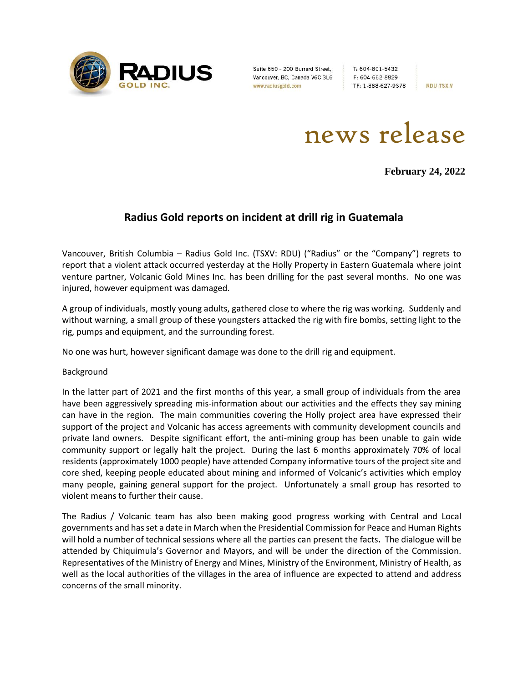

Suite 650 - 200 Burrard Street, Vancouver, BC, Canada V6C 3L6 www.radiusgold.com

T: 604-801-5432 F: 604-662-8829 TF: 1-888-627-9378

**RDU:TSX.V** 

news release

**February 24, 2022**

# **Radius Gold reports on incident at drill rig in Guatemala**

Vancouver, British Columbia – Radius Gold Inc. (TSXV: RDU) ("Radius" or the "Company") regrets to report that a violent attack occurred yesterday at the Holly Property in Eastern Guatemala where joint venture partner, Volcanic Gold Mines Inc. has been drilling for the past several months. No one was injured, however equipment was damaged.

A group of individuals, mostly young adults, gathered close to where the rig was working. Suddenly and without warning, a small group of these youngsters attacked the rig with fire bombs, setting light to the rig, pumps and equipment, and the surrounding forest.

No one was hurt, however significant damage was done to the drill rig and equipment.

## Background

In the latter part of 2021 and the first months of this year, a small group of individuals from the area have been aggressively spreading mis-information about our activities and the effects they say mining can have in the region. The main communities covering the Holly project area have expressed their support of the project and Volcanic has access agreements with community development councils and private land owners. Despite significant effort, the anti-mining group has been unable to gain wide community support or legally halt the project. During the last 6 months approximately 70% of local residents (approximately 1000 people) have attended Company informative tours of the project site and core shed, keeping people educated about mining and informed of Volcanic's activities which employ many people, gaining general support for the project. Unfortunately a small group has resorted to violent means to further their cause.

The Radius / Volcanic team has also been making good progress working with Central and Local governments and has set a date in March when the Presidential Commission for Peace and Human Rights will hold a number of technical sessions where all the parties can present the facts**.** The dialogue will be attended by Chiquimula's Governor and Mayors, and will be under the direction of the Commission. Representatives of the Ministry of Energy and Mines, Ministry of the Environment, Ministry of Health, as well as the local authorities of the villages in the area of influence are expected to attend and address concerns of the small minority.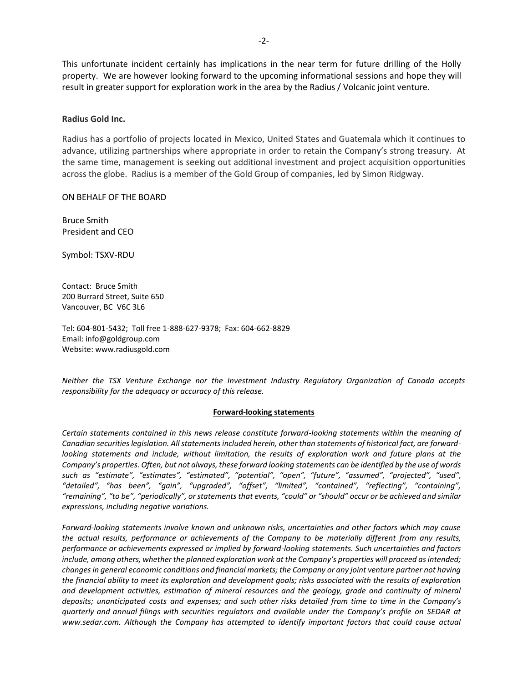This unfortunate incident certainly has implications in the near term for future drilling of the Holly property. We are however looking forward to the upcoming informational sessions and hope they will result in greater support for exploration work in the area by the Radius / Volcanic joint venture.

### **Radius Gold Inc.**

Radius has a portfolio of projects located in Mexico, United States and Guatemala which it continues to advance, utilizing partnerships where appropriate in order to retain the Company's strong treasury. At the same time, management is seeking out additional investment and project acquisition opportunities across the globe. Radius is a member of the Gold Group of companies, led by Simon Ridgway.

#### ON BEHALF OF THE BOARD

Bruce Smith President and CEO

Symbol: TSXV-RDU

Contact: Bruce Smith 200 Burrard Street, Suite 650 Vancouver, BC V6C 3L6

Tel: 604-801-5432; Toll free 1-888-627-9378; Fax: 604-662-8829 Email: info@goldgroup.com Website: www.radiusgold.com

*Neither the TSX Venture Exchange nor the Investment Industry Regulatory Organization of Canada accepts responsibility for the adequacy or accuracy of this release.*

### **Forward-looking statements**

*Certain statements contained in this news release constitute forward-looking statements within the meaning of Canadian securities legislation. All statements included herein, other than statements of historical fact, are forwardlooking statements and include, without limitation, the results of exploration work and future plans at the Company's properties. Often, but not always, these forward looking statements can be identified by the use of words such as "estimate", "estimates", "estimated", "potential", "open", "future", "assumed", "projected", "used", "detailed", "has been", "gain", "upgraded", "offset", "limited", "contained", "reflecting", "containing", "remaining", "to be", "periodically", or statements that events, "could" or "should" occur or be achieved and similar expressions, including negative variations.*

*Forward-looking statements involve known and unknown risks, uncertainties and other factors which may cause the actual results, performance or achievements of the Company to be materially different from any results, performance or achievements expressed or implied by forward-looking statements. Such uncertainties and factors include, among others, whether the planned exploration work at the Company's properties will proceed as intended; changes in general economic conditions and financial markets; the Company or any joint venture partner not having the financial ability to meet its exploration and development goals; risks associated with the results of exploration and development activities, estimation of mineral resources and the geology, grade and continuity of mineral deposits; unanticipated costs and expenses; and such other risks detailed from time to time in the Company's quarterly and annual filings with securities regulators and available under the Company's profile on SEDAR at [www.sedar.com.](http://www.sedar.com/) Although the Company has attempted to identify important factors that could cause actual*